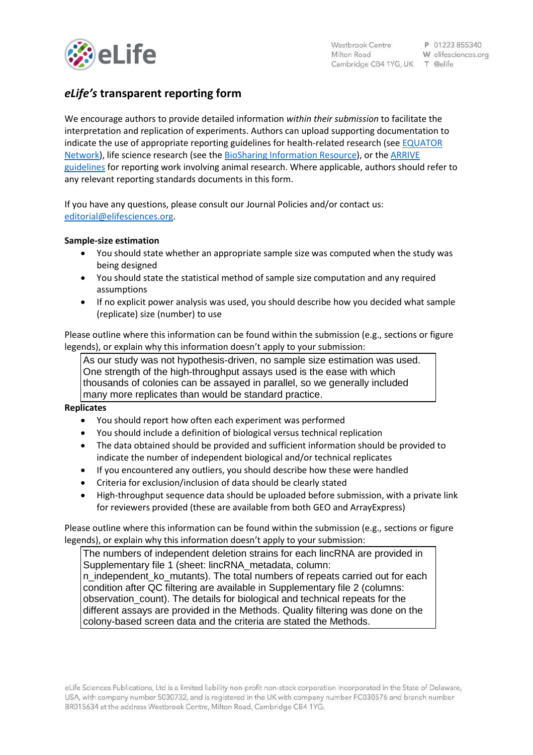

# *eLife's* **transparent reporting form**

We encourage authors to provide detailed information *within their submission* to facilitate the interpretation and replication of experiments. Authors can upload supporting documentation to indicate the use of appropriate reporting guidelines for health-related research (see [EQUATOR](http://www.equator-network.org/)  [Network\)](http://www.equator-network.org/), life science research (see the [BioSharing Information Resource\)](https://biosharing.org/), or the [ARRIVE](http://www.plosbiology.org/article/info:doi/10.1371/journal.pbio.1000412)  [guidelines](http://www.plosbiology.org/article/info:doi/10.1371/journal.pbio.1000412) for reporting work involving animal research. Where applicable, authors should refer to any relevant reporting standards documents in this form.

If you have any questions, please consult our Journal Policies and/or contact us: [editorial@elifesciences.org.](mailto:editorial@elifesciences.org)

## **Sample-size estimation**

- You should state whether an appropriate sample size was computed when the study was being designed
- You should state the statistical method of sample size computation and any required assumptions
- If no explicit power analysis was used, you should describe how you decided what sample (replicate) size (number) to use

Please outline where this information can be found within the submission (e.g., sections or figure legends), or explain why this information doesn't apply to your submission:

As our study was not hypothesis-driven, no sample size estimation was used. One strength of the high-throughput assays used is the ease with which thousands of colonies can be assayed in parallel, so we generally included many more replicates than would be standard practice.

## **Replicates**

- You should report how often each experiment was performed
- You should include a definition of biological versus technical replication
- The data obtained should be provided and sufficient information should be provided to indicate the number of independent biological and/or technical replicates
- If you encountered any outliers, you should describe how these were handled
- Criteria for exclusion/inclusion of data should be clearly stated
- High-throughput sequence data should be uploaded before submission, with a private link for reviewers provided (these are available from both GEO and ArrayExpress)

Please outline where this information can be found within the submission (e.g., sections or figure legends), or explain why this information doesn't apply to your submission:

The numbers of independent deletion strains for each lincRNA are provided in Supplementary file 1 (sheet: lincRNA\_metadata, column: n\_independent\_ko\_mutants). The total numbers of repeats carried out for each condition after QC filtering are available in Supplementary file 2 (columns: observation\_count). The details for biological and technical repeats for the different assays are provided in the Methods. Quality filtering was done on the colony-based screen data and the criteria are stated the Methods.

eLife Sciences Publications, Ltd is a limited liability non-profit non-stock corporation incorporated in the State of Delaware, USA, with company number 5030732, and is registered in the UK with company number FC030576 and branch number BR015634 at the address Westbrook Centre, Milton Road, Cambridge CB4 1YG.